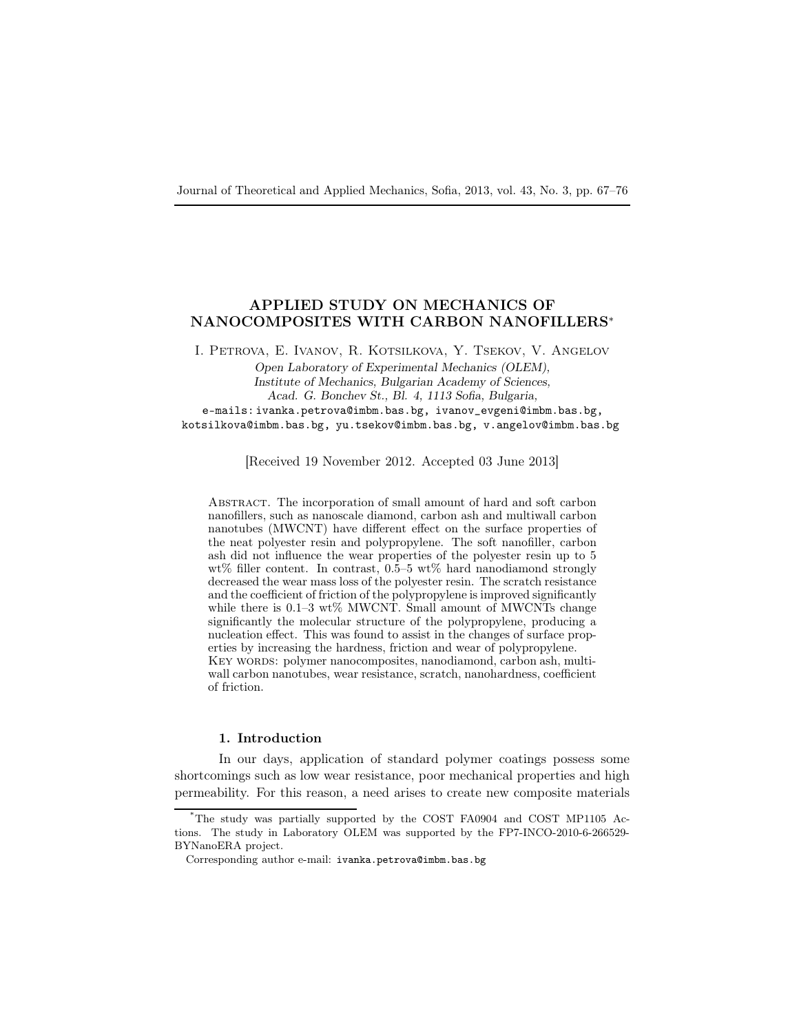# APPLIED STUDY ON MECHANICS OF NANOCOMPOSITES WITH CARBON NANOFILLERS<sup>∗</sup>

I. Petrova, E. Ivanov, R. Kotsilkova, Y. Tsekov, V. Angelov

Open Laboratory of Experimental Mechanics (OLEM), Institute of Mechanics, Bulgarian Academy of Sciences, Acad. G. Bonchev St., Bl. 4, 1113 Sofia, Bulgaria, e-mails: ivanka.petrova@imbm.bas.bg, ivanov\_evgeni@imbm.bas.bg,

kotsilkova@imbm.bas.bg, yu.tsekov@imbm.bas.bg, v.angelov@imbm.bas.bg

[Received 19 November 2012. Accepted 03 June 2013]

Abstract. The incorporation of small amount of hard and soft carbon nanofillers, such as nanoscale diamond, carbon ash and multiwall carbon nanotubes (MWCNT) have different effect on the surface properties of the neat polyester resin and polypropylene. The soft nanofiller, carbon ash did not influence the wear properties of the polyester resin up to 5 wt% filler content. In contrast,  $0.5-5$  wt% hard nanodiamond strongly decreased the wear mass loss of the polyester resin. The scratch resistance and the coefficient of friction of the polypropylene is improved significantly while there is 0.1–3 wt% MWCNT. Small amount of MWCNTs change significantly the molecular structure of the polypropylene, producing a nucleation effect. This was found to assist in the changes of surface properties by increasing the hardness, friction and wear of polypropylene. KEY WORDS: polymer nanocomposites, nanodiamond, carbon ash, multiwall carbon nanotubes, wear resistance, scratch, nanohardness, coefficient of friction.

### 1. Introduction

In our days, application of standard polymer coatings possess some shortcomings such as low wear resistance, poor mechanical properties and high permeability. For this reason, a need arises to create new composite materials

<sup>\*</sup>The study was partially supported by the COST FA0904 and COST MP1105 Actions. The study in Laboratory OLEM was supported by the FP7-INCO-2010-6-266529- BYNanoERA project.

Corresponding author e-mail: ivanka.petrova@imbm.bas.bg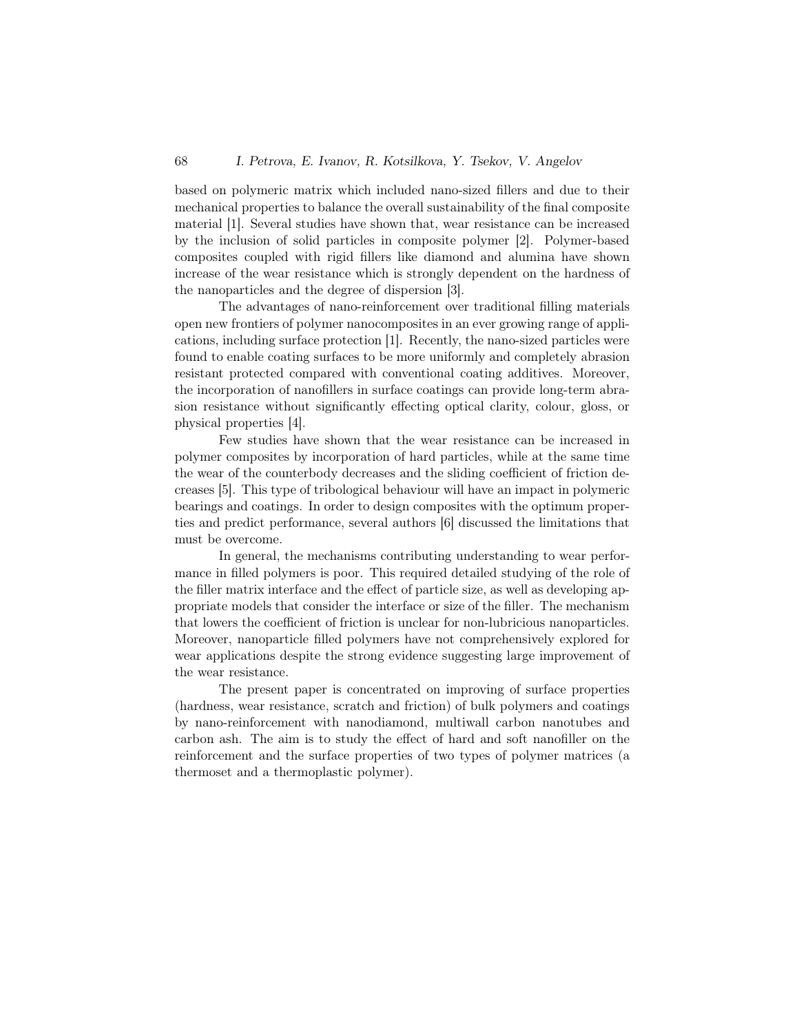based on polymeric matrix which included nano-sized fillers and due to their mechanical properties to balance the overall sustainability of the final composite material [1]. Several studies have shown that, wear resistance can be increased by the inclusion of solid particles in composite polymer [2]. Polymer-based composites coupled with rigid fillers like diamond and alumina have shown increase of the wear resistance which is strongly dependent on the hardness of the nanoparticles and the degree of dispersion [3].

The advantages of nano-reinforcement over traditional filling materials open new frontiers of polymer nanocomposites in an ever growing range of applications, including surface protection [1]. Recently, the nano-sized particles were found to enable coating surfaces to be more uniformly and completely abrasion resistant protected compared with conventional coating additives. Moreover, the incorporation of nanofillers in surface coatings can provide long-term abrasion resistance without significantly effecting optical clarity, colour, gloss, or physical properties [4].

Few studies have shown that the wear resistance can be increased in polymer composites by incorporation of hard particles, while at the same time the wear of the counterbody decreases and the sliding coefficient of friction decreases [5]. This type of tribological behaviour will have an impact in polymeric bearings and coatings. In order to design composites with the optimum properties and predict performance, several authors [6] discussed the limitations that must be overcome.

In general, the mechanisms contributing understanding to wear performance in filled polymers is poor. This required detailed studying of the role of the filler matrix interface and the effect of particle size, as well as developing appropriate models that consider the interface or size of the filler. The mechanism that lowers the coefficient of friction is unclear for non-lubricious nanoparticles. Moreover, nanoparticle filled polymers have not comprehensively explored for wear applications despite the strong evidence suggesting large improvement of the wear resistance.

The present paper is concentrated on improving of surface properties (hardness, wear resistance, scratch and friction) of bulk polymers and coatings by nano-reinforcement with nanodiamond, multiwall carbon nanotubes and carbon ash. The aim is to study the effect of hard and soft nanofiller on the reinforcement and the surface properties of two types of polymer matrices (a thermoset and a thermoplastic polymer).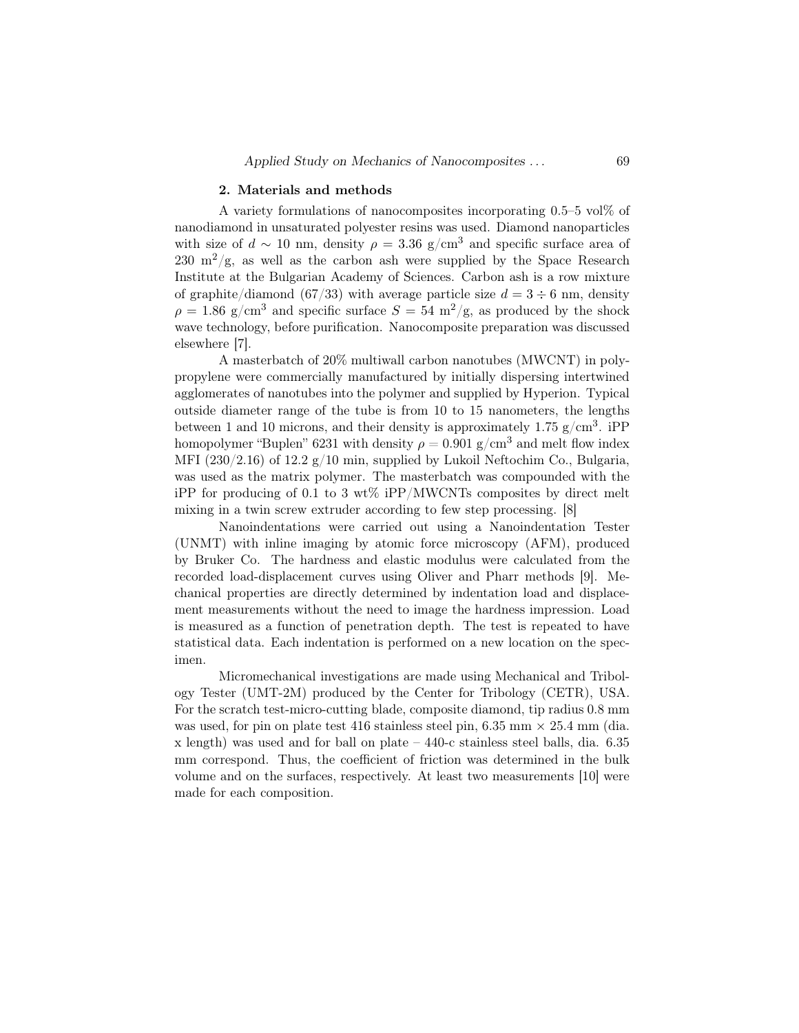#### 2. Materials and methods

A variety formulations of nanocomposites incorporating  $0.5-5$  vol $\%$  of nanodiamond in unsaturated polyester resins was used. Diamond nanoparticles with size of  $d \sim 10$  nm, density  $\rho = 3.36$  g/cm<sup>3</sup> and specific surface area of 230 m<sup>2</sup>/g, as well as the carbon ash were supplied by the Space Research Institute at the Bulgarian Academy of Sciences. Carbon ash is a row mixture of graphite/diamond (67/33) with average particle size  $d = 3 \div 6$  nm, density  $\rho = 1.86$  g/cm<sup>3</sup> and specific surface  $S = 54$  m<sup>2</sup>/g, as produced by the shock wave technology, before purification. Nanocomposite preparation was discussed elsewhere [7].

A masterbatch of 20% multiwall carbon nanotubes (MWCNT) in polypropylene were commercially manufactured by initially dispersing intertwined agglomerates of nanotubes into the polymer and supplied by Hyperion. Typical outside diameter range of the tube is from 10 to 15 nanometers, the lengths between 1 and 10 microns, and their density is approximately 1.75  $g/cm^3$ . iPP homopolymer "Buplen" 6231 with density  $\rho = 0.901 \text{ g/cm}^3$  and melt flow index MFI (230/2.16) of 12.2  $g/10$  min, supplied by Lukoil Neftochim Co., Bulgaria, was used as the matrix polymer. The masterbatch was compounded with the iPP for producing of 0.1 to 3 wt% iPP/MWCNTs composites by direct melt mixing in a twin screw extruder according to few step processing. [8]

Nanoindentations were carried out using a Nanoindentation Tester (UNMT) with inline imaging by atomic force microscopy (AFM), produced by Bruker Co. The hardness and elastic modulus were calculated from the recorded load-displacement curves using Oliver and Pharr methods [9]. Mechanical properties are directly determined by indentation load and displacement measurements without the need to image the hardness impression. Load is measured as a function of penetration depth. The test is repeated to have statistical data. Each indentation is performed on a new location on the specimen.

Micromechanical investigations are made using Mechanical and Tribology Tester (UMT-2M) produced by the Center for Tribology (CETR), USA. For the scratch test-micro-cutting blade, composite diamond, tip radius 0.8 mm was used, for pin on plate test 416 stainless steel pin,  $6.35$  mm  $\times$  25.4 mm (dia. x length) was used and for ball on plate – 440-c stainless steel balls, dia. 6.35 mm correspond. Thus, the coefficient of friction was determined in the bulk volume and on the surfaces, respectively. At least two measurements [10] were made for each composition.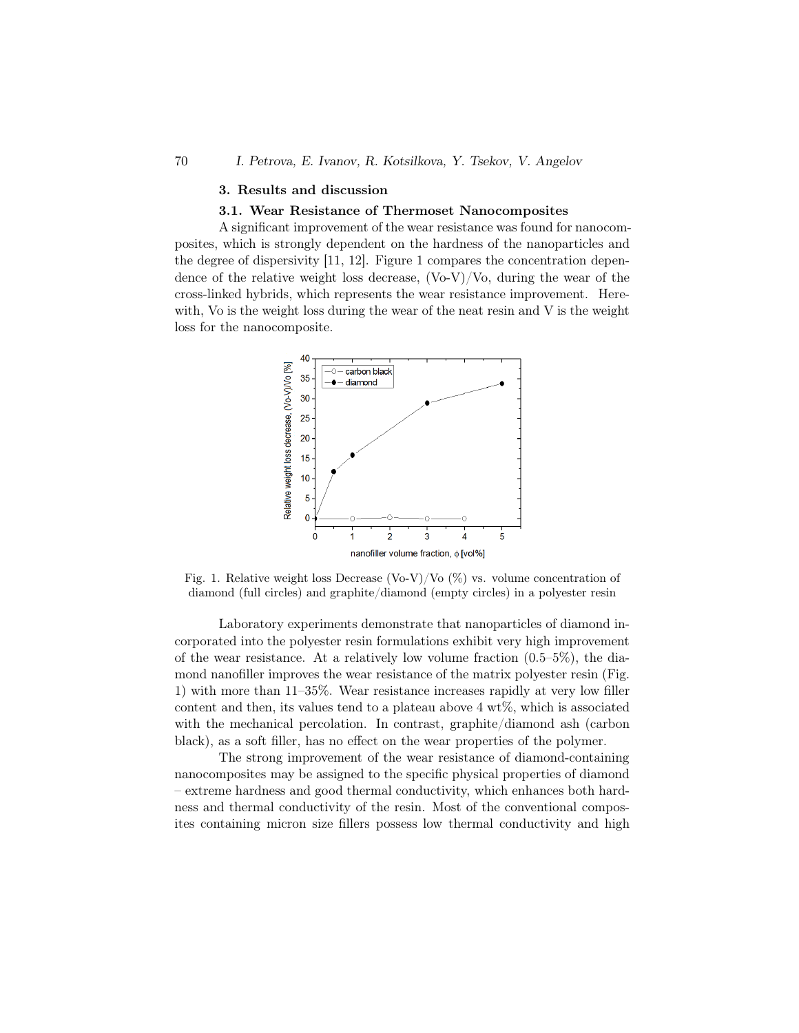#### 70 I. Petrova, E. Ivanov, R. Kotsilkova, Y. Tsekov, V. Angelov

#### 3. Results and discussion

#### 3.1. Wear Resistance of Thermoset Nanocomposites

A significant improvement of the wear resistance was found for nanocomposites, which is strongly dependent on the hardness of the nanoparticles and the degree of dispersivity [11, 12]. Figure 1 compares the concentration dependence of the relative weight loss decrease,  $(\text{Vo-V})/\text{Vo}$ , during the wear of the cross-linked hybrids, which represents the wear resistance improvement. Herewith, Vo is the weight loss during the wear of the neat resin and V is the weight loss for the nanocomposite.



Fig. 1. Relative weight loss Decrease (Vo-V)/Vo  $(\%)$  vs. volume concentration of diamond (full circles) and graphite/diamond (empty circles) in a polyester resin

Laboratory experiments demonstrate that nanoparticles of diamond incorporated into the polyester resin formulations exhibit very high improvement of the wear resistance. At a relatively low volume fraction  $(0.5-5\%)$ , the diamond nanofiller improves the wear resistance of the matrix polyester resin (Fig. 1) with more than 11–35%. Wear resistance increases rapidly at very low filler content and then, its values tend to a plateau above  $4 \text{ wt}\%$ , which is associated with the mechanical percolation. In contrast, graphite/diamond ash (carbon black), as a soft filler, has no effect on the wear properties of the polymer.

The strong improvement of the wear resistance of diamond-containing nanocomposites may be assigned to the specific physical properties of diamond – extreme hardness and good thermal conductivity, which enhances both hardness and thermal conductivity of the resin. Most of the conventional composites containing micron size fillers possess low thermal conductivity and high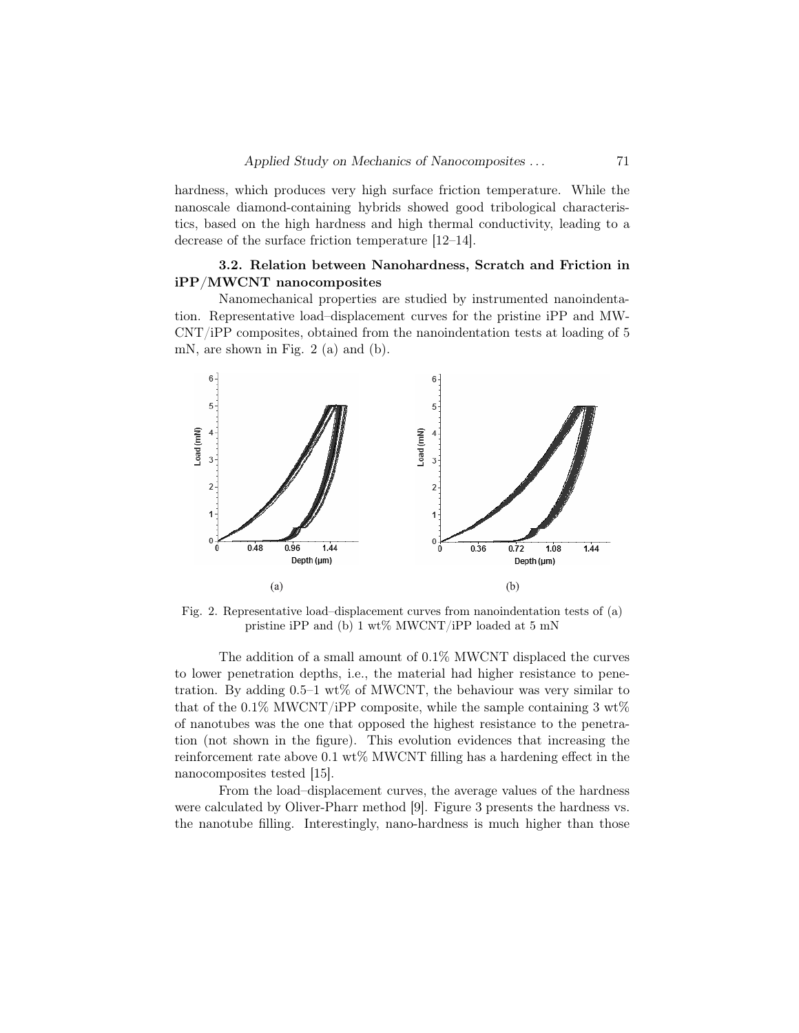hardness, which produces very high surface friction temperature. While the nanoscale diamond-containing hybrids showed good tribological characteristics, based on the high hardness and high thermal conductivity, leading to a decrease of the surface friction temperature [12–14].

# 3.2. Relation between Nanohardness, Scratch and Friction in iPP/MWCNT nanocomposites

Nanomechanical properties are studied by instrumented nanoindentation. Representative load–displacement curves for the pristine iPP and MW-CNT/iPP composites, obtained from the nanoindentation tests at loading of 5 mN, are shown in Fig. 2 (a) and (b).



Fig. 2. Representative load–displacement curves from nanoindentation tests of (a) pristine iPP and (b) 1 wt% MWCNT/iPP loaded at 5 mN

The addition of a small amount of 0.1% MWCNT displaced the curves to lower penetration depths, i.e., the material had higher resistance to penetration. By adding  $0.5-1$  wt% of MWCNT, the behaviour was very similar to that of the  $0.1\%$  MWCNT/iPP composite, while the sample containing 3 wt% of nanotubes was the one that opposed the highest resistance to the penetration (not shown in the figure). This evolution evidences that increasing the reinforcement rate above  $0.1 \text{ wt\%}$  MWCNT filling has a hardening effect in the nanocomposites tested [15].

From the load–displacement curves, the average values of the hardness were calculated by Oliver-Pharr method [9]. Figure 3 presents the hardness vs. the nanotube filling. Interestingly, nano-hardness is much higher than those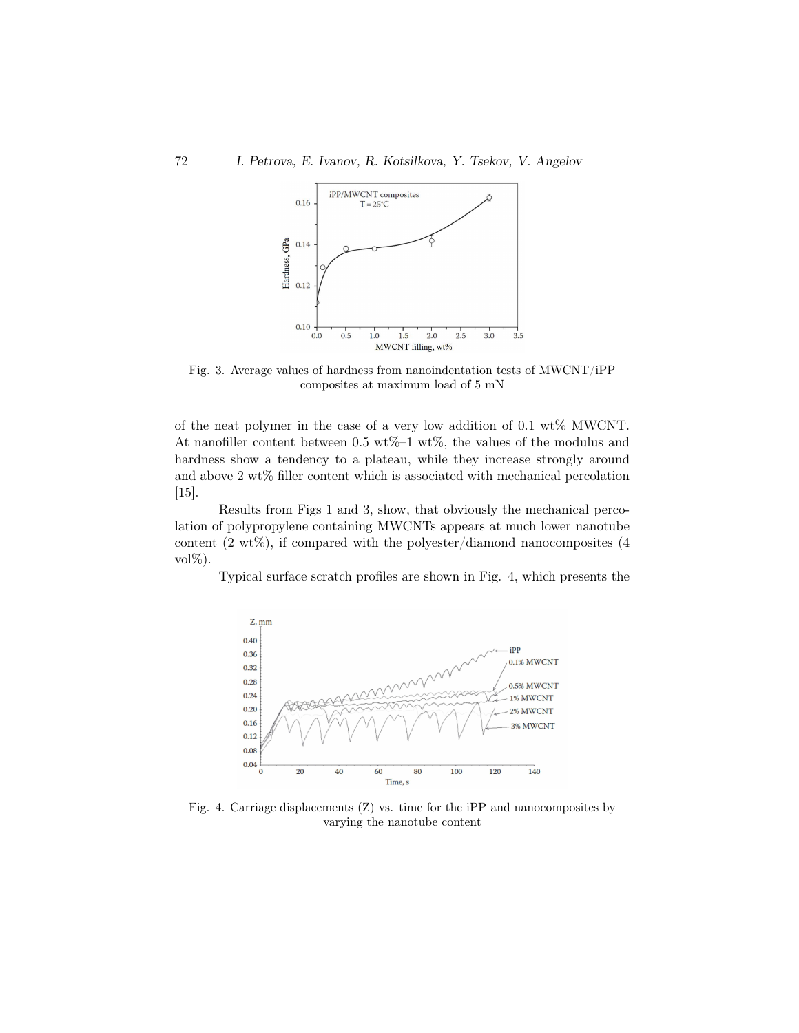

Fig. 3. Average values of hardness from nanoindentation tests of  $MWCNT/iPP$ composites at maximum load of 5 mN

of the neat polymer in the case of a very low addition of 0.1 wt% MWCNT. At nanofiller content between 0.5 wt%–1 wt%, the values of the modulus and hardness show a tendency to a plateau, while they increase strongly around and above 2 wt% filler content which is associated with mechanical percolation [15].

Results from Figs 1 and 3, show, that obviously the mechanical percolation of polypropylene containing MWCNTs appears at much lower nanotube content  $(2 \text{ wt}\%)$ , if compared with the polyester/diamond nanocomposites  $(4 \text{ wt}\%)$ vol%).

Typical surface scratch profiles are shown in Fig. 4, which presents the



Fig. 4. Carriage displacements (Z) vs. time for the iPP and nanocomposites by varying the nanotube content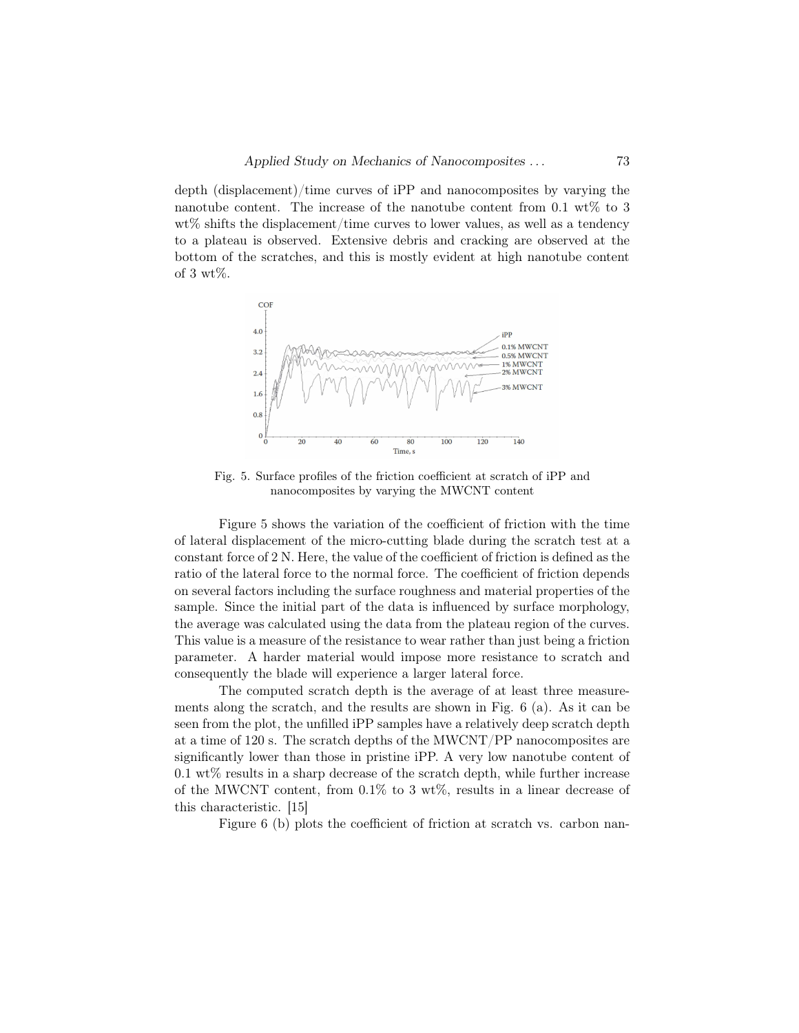depth (displacement)/time curves of iPP and nanocomposites by varying the nanotube content. The increase of the nanotube content from  $0.1 \text{ wt\%}$  to 3  $wt\%$  shifts the displacement/time curves to lower values, as well as a tendency to a plateau is observed. Extensive debris and cracking are observed at the bottom of the scratches, and this is mostly evident at high nanotube content of 3 wt%.



Fig. 5. Surface profiles of the friction coefficient at scratch of iPP and nanocomposites by varying the MWCNT content

Figure 5 shows the variation of the coefficient of friction with the time of lateral displacement of the micro-cutting blade during the scratch test at a constant force of 2 N. Here, the value of the coefficient of friction is defined as the ratio of the lateral force to the normal force. The coefficient of friction depends on several factors including the surface roughness and material properties of the sample. Since the initial part of the data is influenced by surface morphology, the average was calculated using the data from the plateau region of the curves. This value is a measure of the resistance to wear rather than just being a friction parameter. A harder material would impose more resistance to scratch and consequently the blade will experience a larger lateral force.

The computed scratch depth is the average of at least three measurements along the scratch, and the results are shown in Fig. 6 (a). As it can be seen from the plot, the unfilled iPP samples have a relatively deep scratch depth at a time of 120 s. The scratch depths of the MWCNT/PP nanocomposites are significantly lower than those in pristine iPP. A very low nanotube content of  $0.1 \text{ wt\%}$  results in a sharp decrease of the scratch depth, while further increase of the MWCNT content, from  $0.1\%$  to 3 wt%, results in a linear decrease of this characteristic. [15]

Figure 6 (b) plots the coefficient of friction at scratch vs. carbon nan-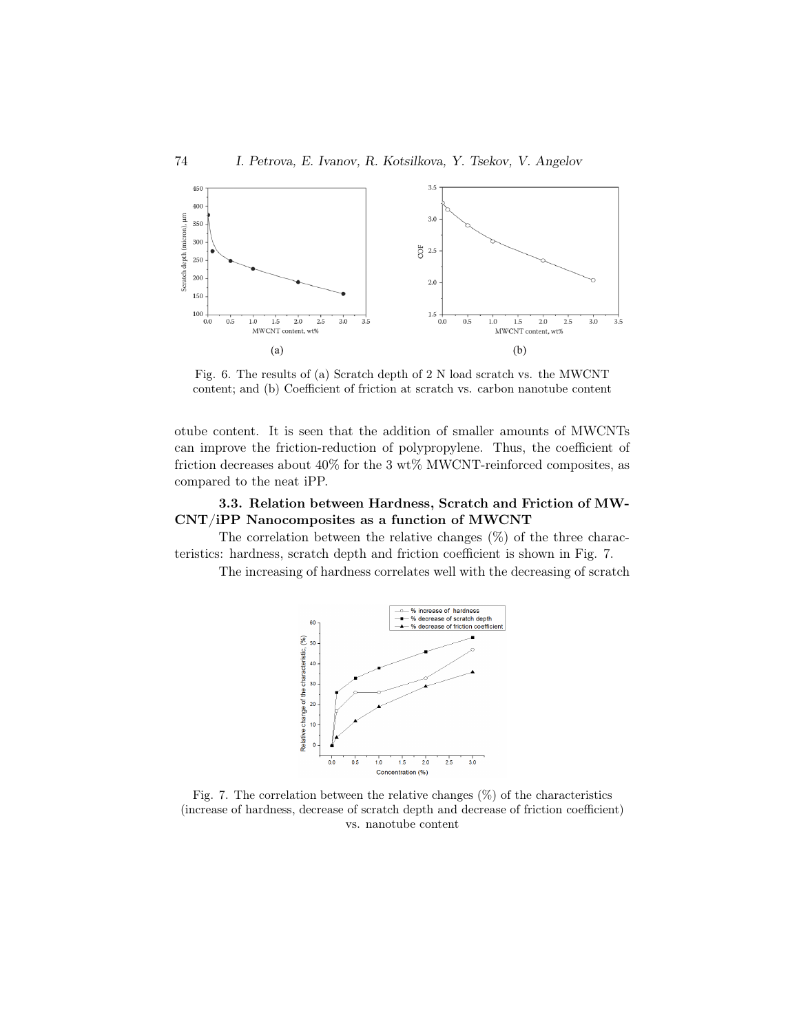

Fig. 6. The results of (a) Scratch depth of 2 N load scratch vs. the MWCNT content; and (b) Coefficient of friction at scratch vs. carbon nanotube content

otube content. It is seen that the addition of smaller amounts of MWCNTs can improve the friction-reduction of polypropylene. Thus, the coefficient of friction decreases about 40% for the 3 wt% MWCNT-reinforced composites, as compared to the neat iPP.

# 3.3. Relation between Hardness, Scratch and Friction of MW-CNT/iPP Nanocomposites as a function of MWCNT

The correlation between the relative changes  $(\%)$  of the three characteristics: hardness, scratch depth and friction coefficient is shown in Fig. 7.

The increasing of hardness correlates well with the decreasing of scratch



Fig. 7. The correlation between the relative changes  $(\%)$  of the characteristics (increase of hardness, decrease of scratch depth and decrease of friction coefficient) vs. nanotube content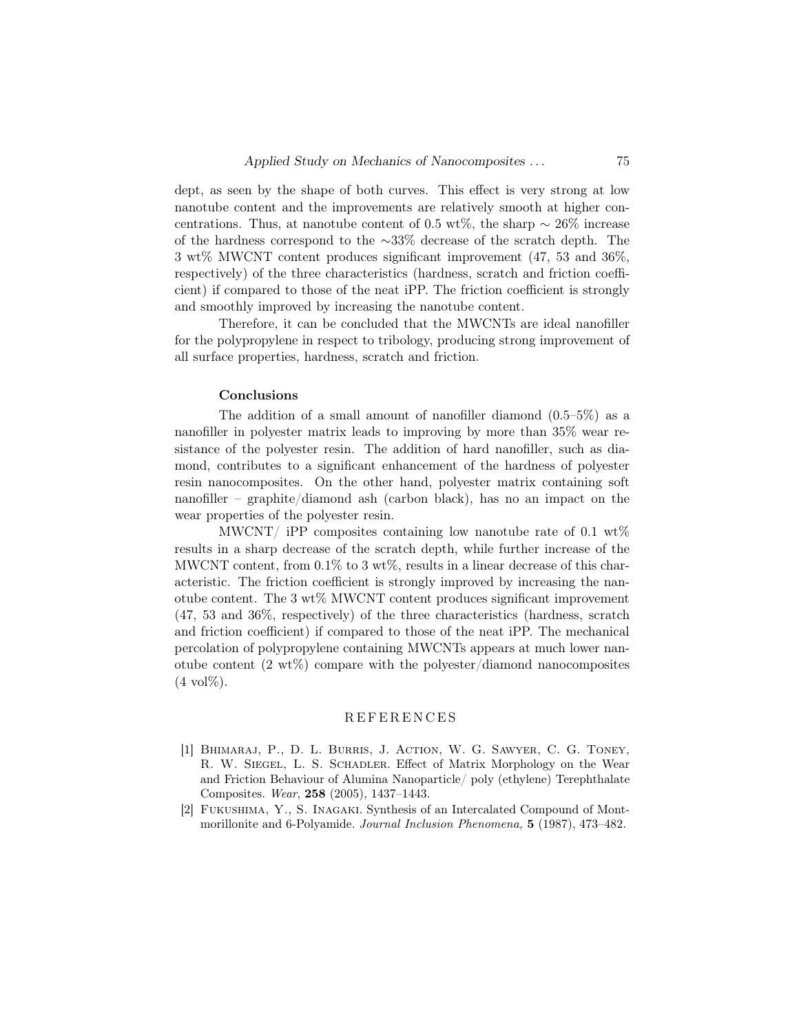dept, as seen by the shape of both curves. This effect is very strong at low nanotube content and the improvements are relatively smooth at higher concentrations. Thus, at nanotube content of 0.5 wt%, the sharp  $\sim 26\%$  increase of the hardness correspond to the ∼33% decrease of the scratch depth. The 3 wt% MWCNT content produces significant improvement (47, 53 and 36%, respectively) of the three characteristics (hardness, scratch and friction coefficient) if compared to those of the neat iPP. The friction coefficient is strongly and smoothly improved by increasing the nanotube content.

Therefore, it can be concluded that the MWCNTs are ideal nanofiller for the polypropylene in respect to tribology, producing strong improvement of all surface properties, hardness, scratch and friction.

#### Conclusions

The addition of a small amount of nanofiller diamond  $(0.5-5\%)$  as a nanofiller in polyester matrix leads to improving by more than 35% wear resistance of the polyester resin. The addition of hard nanofiller, such as diamond, contributes to a significant enhancement of the hardness of polyester resin nanocomposites. On the other hand, polyester matrix containing soft nanofiller – graphite/diamond ash (carbon black), has no an impact on the wear properties of the polyester resin.

MWCNT/ iPP composites containing low nanotube rate of 0.1  $\text{wt}\%$ results in a sharp decrease of the scratch depth, while further increase of the MWCNT content, from  $0.1\%$  to 3 wt%, results in a linear decrease of this characteristic. The friction coefficient is strongly improved by increasing the nanotube content. The 3 wt% MWCNT content produces significant improvement (47, 53 and 36%, respectively) of the three characteristics (hardness, scratch and friction coefficient) if compared to those of the neat iPP. The mechanical percolation of polypropylene containing MWCNTs appears at much lower nanotube content  $(2 \text{ wt}\%)$  compare with the polyester/diamond nanocomposites  $(4 \text{ vol}\%)$ .

## **REFERENCES**

- [1] Bhimaraj, P., D. L. Burris, J. Action, W. G. Sawyer, C. G. Toney, R. W. Siegel, L. S. Schadler. Effect of Matrix Morphology on the Wear and Friction Behaviour of Alumina Nanoparticle/ poly (ethylene) Terephthalate Composites. Wear, 258 (2005), 1437–1443.
- [2] Fukushima, Y., S. Inagaki. Synthesis of an Intercalated Compound of Montmorillonite and 6-Polyamide. Journal Inclusion Phenomena, 5 (1987), 473–482.